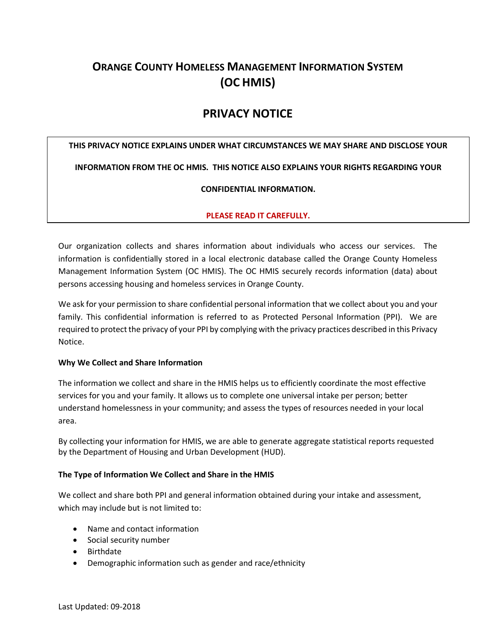# **ORANGE COUNTY HOMELESS MANAGEMENT INFORMATION SYSTEM (OC HMIS)**

# **PRIVACY NOTICE**

# **THIS PRIVACY NOTICE EXPLAINS UNDER WHAT CIRCUMSTANCES WE MAY SHARE AND DISCLOSE YOUR**

**INFORMATION FROM THE OC HMIS. THIS NOTICE ALSO EXPLAINS YOUR RIGHTS REGARDING YOUR** 

#### **CONFIDENTIAL INFORMATION.**

# **PLEASE READ IT CAREFULLY.**

Our organization collects and shares information about individuals who access our services. The information is confidentially stored in a local electronic database called the Orange County Homeless Management Information System (OC HMIS). The OC HMIS securely records information (data) about persons accessing housing and homeless services in Orange County.

We ask for your permission to share confidential personal information that we collect about you and your family. This confidential information is referred to as Protected Personal Information (PPI). We are required to protect the privacy of your PPI by complying with the privacy practices described in this Privacy Notice.

# **Why We Collect and Share Information**

The information we collect and share in the HMIS helps us to efficiently coordinate the most effective services for you and your family. It allows us to complete one universal intake per person; better understand homelessness in your community; and assess the types of resources needed in your local area.

By collecting your information for HMIS, we are able to generate aggregate statistical reports requested by the Department of Housing and Urban Development (HUD).

# **The Type of Information We Collect and Share in the HMIS**

We collect and share both PPI and general information obtained during your intake and assessment, which may include but is not limited to:

- Name and contact information
- Social security number
- Birthdate
- Demographic information such as gender and race/ethnicity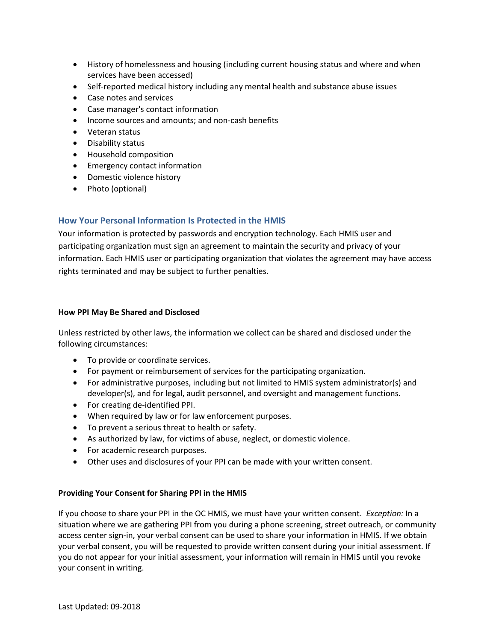- History of homelessness and housing (including current housing status and where and when services have been accessed)
- Self-reported medical history including any mental health and substance abuse issues
- Case notes and services
- Case manager's contact information
- Income sources and amounts; and non-cash benefits
- Veteran status
- Disability status
- Household composition
- Emergency contact information
- Domestic violence history
- Photo (optional)

# **How Your Personal Information Is Protected in the HMIS**

Your information is protected by passwords and encryption technology. Each HMIS user and participating organization must sign an agreement to maintain the security and privacy of your information. Each HMIS user or participating organization that violates the agreement may have access rights terminated and may be subject to further penalties.

#### **How PPI May Be Shared and Disclosed**

Unless restricted by other laws, the information we collect can be shared and disclosed under the following circumstances:

- To provide or coordinate services.
- For payment or reimbursement of services for the participating organization.
- For administrative purposes, including but not limited to HMIS system administrator(s) and developer(s), and for legal, audit personnel, and oversight and management functions.
- For creating de-identified PPI.
- When required by law or for law enforcement purposes.
- To prevent a serious threat to health or safety.
- As authorized by law, for victims of abuse, neglect, or domestic violence.
- For academic research purposes.
- Other uses and disclosures of your PPI can be made with your written consent.

# **Providing Your Consent for Sharing PPI in the HMIS**

If you choose to share your PPI in the OC HMIS, we must have your written consent. *Exception:* In a situation where we are gathering PPI from you during a phone screening, street outreach, or community access center sign-in, your verbal consent can be used to share your information in HMIS. If we obtain your verbal consent, you will be requested to provide written consent during your initial assessment. If you do not appear for your initial assessment, your information will remain in HMIS until you revoke your consent in writing.